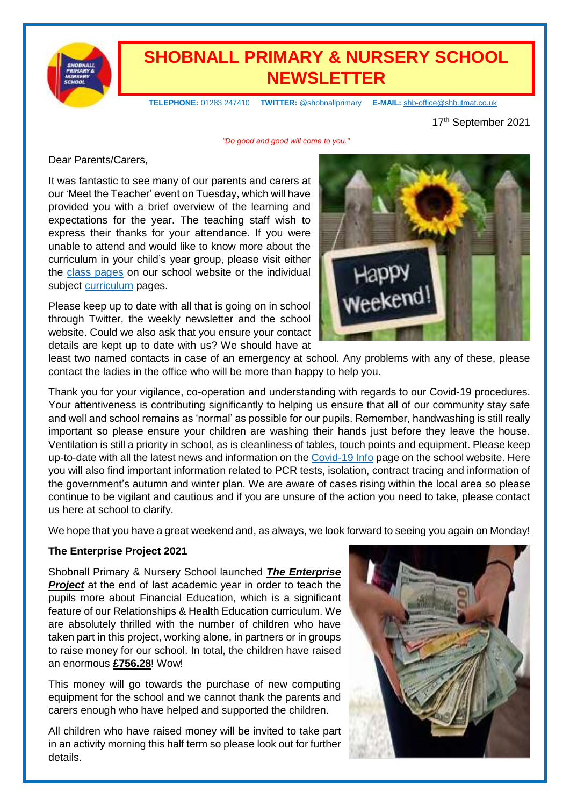

## **SHOBNALL PRIMARY & NURSERY SCHOOL NEWSLETTER**

 **TELEPHONE:** 01283 247410 **TWITTER:** @shobnallprimary **E-MAIL:** [shb-office@shb.jtmat.co.uk](mailto:shb-office@shb.jtmat.co.uk)

17<sup>th</sup> September 2021

*"Do good and good will come to you."*

Dear Parents/Carers,

It was fantastic to see many of our parents and carers at our 'Meet the Teacher' event on Tuesday, which will have provided you with a brief overview of the learning and expectations for the year. The teaching staff wish to express their thanks for your attendance. If you were unable to attend and would like to know more about the curriculum in your child's year group, please visit either the [class pages](https://shobnallprimaryschool.co.uk/) on our school website or the individual subject [curriculum](https://shobnallprimaryschool.co.uk/) pages.

Please keep up to date with all that is going on in school through Twitter, the weekly newsletter and the school website. Could we also ask that you ensure your contact details are kept up to date with us? We should have at



least two named contacts in case of an emergency at school. Any problems with any of these, please contact the ladies in the office who will be more than happy to help you.

Thank you for your vigilance, co-operation and understanding with regards to our Covid-19 procedures. Your attentiveness is contributing significantly to helping us ensure that all of our community stay safe and well and school remains as 'normal' as possible for our pupils. Remember, handwashing is still really important so please ensure your children are washing their hands just before they leave the house. Ventilation is still a priority in school, as is cleanliness of tables, touch points and equipment. Please keep up-to-date with all the latest news and information on the [Covid-19 Info](https://shobnallprimaryschool.co.uk/covid-19/) page on the school website. Here you will also find important information related to PCR tests, isolation, contract tracing and information of the government's autumn and winter plan. We are aware of cases rising within the local area so please continue to be vigilant and cautious and if you are unsure of the action you need to take, please contact us here at school to clarify.

We hope that you have a great weekend and, as always, we look forward to seeing you again on Monday!

#### **The Enterprise Project 2021**

Shobnall Primary & Nursery School launched *The Enterprise*  **Project** at the end of last academic year in order to teach the pupils more about Financial Education, which is a significant feature of our Relationships & Health Education curriculum. We are absolutely thrilled with the number of children who have taken part in this project, working alone, in partners or in groups to raise money for our school. In total, the children have raised an enormous **£756.28**! Wow!

This money will go towards the purchase of new computing equipment for the school and we cannot thank the parents and carers enough who have helped and supported the children.

All children who have raised money will be invited to take part in an activity morning this half term so please look out for further details.

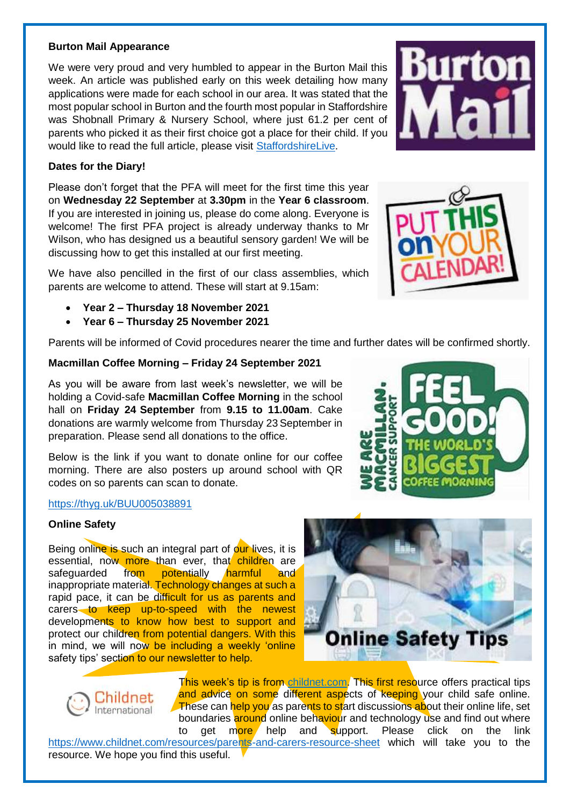#### **Burton Mail Appearance**

We were very proud and very humbled to appear in the Burton Mail this week. An article was published early on this week detailing how many applications were made for each school in our area. It was stated that the most popular school in Burton and the fourth most popular in Staffordshire was Shobnall Primary & Nursery School, where just 61.2 per cent of parents who picked it as their first choice got a place for their child. If you would like to read the full article, please visit [StaffordshireLive.](https://www.staffordshire-live.co.uk/news/local-news/staffordshires-schools-ranked-most-least-5902104?fbclid=IwAR0B5mdFUJ5e9NZKjR40c_OyewHwMNE-YwSelvA4CEZW8TALZoXJ2UjcXys)

#### **Dates for the Diary!**

Please don't forget that the PFA will meet for the first time this year on **Wednesday 22 September** at **3.30pm** in the **Year 6 classroom**. If you are interested in joining us, please do come along. Everyone is welcome! The first PFA project is already underway thanks to Mr Wilson, who has designed us a beautiful sensory garden! We will be discussing how to get this installed at our first meeting.

We have also pencilled in the first of our class assemblies, which parents are welcome to attend. These will start at 9.15am:

- **Year 2 – Thursday 18 November 2021**
- **Year 6 – Thursday 25 November 2021**

Parents will be informed of Covid procedures nearer the time and further dates will be confirmed shortly.

#### **Macmillan Coffee Morning – Friday 24 September 2021**

As you will be aware from last week's newsletter, we will be holding a Covid-safe **Macmillan Coffee Morning** in the school hall on **Friday 24 September** from **9.15 to 11.00am**. Cake donations are warmly welcome from Thursday 23 September in preparation. Please send all donations to the office.

Below is the link if you want to donate online for our coffee morning. There are also posters up around school with QR codes on so parents can scan to donate.

#### <https://thyg.uk/BUU005038891>

#### **Online Safety**

Being online is such an integral part of our lives, it is essential, now more than ever, that children are safeguarded from potentially harmful and inappropriate material. Technology changes at such a rapid pace, it can be difficult for us as parents and carers to keep up-to-speed with the newest developments to know how best to support and protect our children from potential dangers. With this in mind, we will now be including a weekly 'online safety tips' section to our newsletter to help.



<https://www.childnet.com/resources/parents-and-carers-resource-sheet> which will take you to the resource. We hope you find this useful.







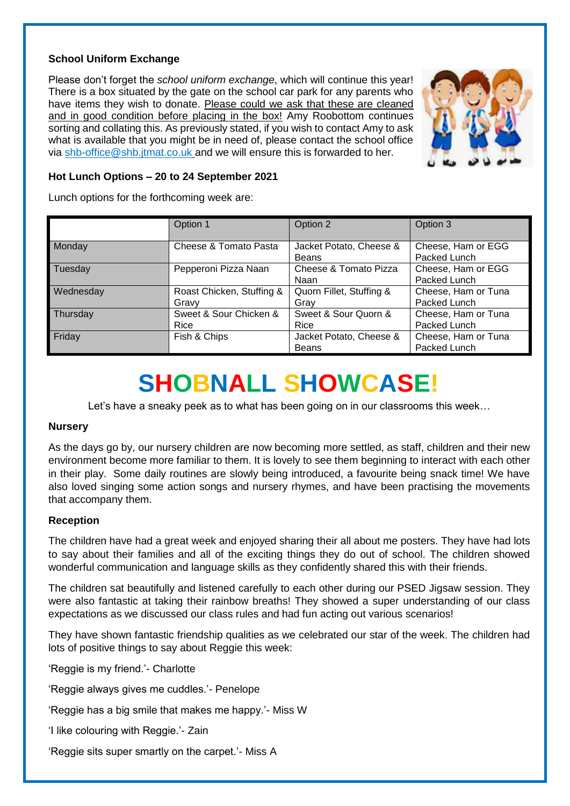#### **School Uniform Exchange**

Please don't forget the *school uniform exchange*, which will continue this year! There is a box situated by the gate on the school car park for any parents who have items they wish to donate. Please could we ask that these are cleaned and in good condition before placing in the box! Amy Roobottom continues sorting and collating this. As previously stated, if you wish to contact Amy to ask what is available that you might be in need of, please contact the school office via [shb-office@shb.jtmat.co.uk](mailto:shb-office@shb.jtmat.co.uk) and we will ensure this is forwarded to her.



#### **Hot Lunch Options – 20 to 24 September 2021**

Lunch options for the forthcoming week are:

|           | Option 1                           | Option 2                                | Option 3                            |
|-----------|------------------------------------|-----------------------------------------|-------------------------------------|
| Monday    | Cheese & Tomato Pasta              | Jacket Potato, Cheese &<br><b>Beans</b> | Cheese, Ham or EGG<br>Packed Lunch  |
| Tuesday   | Pepperoni Pizza Naan               | Cheese & Tomato Pizza<br>Naan           | Cheese, Ham or EGG<br>Packed Lunch  |
| Wednesday | Roast Chicken, Stuffing &<br>Gravy | Quorn Fillet, Stuffing &<br>Gray        | Cheese, Ham or Tuna<br>Packed Lunch |
| Thursday  | Sweet & Sour Chicken &<br>Rice     | Sweet & Sour Quorn &<br>Rice            | Cheese, Ham or Tuna<br>Packed Lunch |
| Friday    | Fish & Chips                       | Jacket Potato, Cheese &<br><b>Beans</b> | Cheese, Ham or Tuna<br>Packed Lunch |

## **SHOBNALL SHOWCASE!**

Let's have a sneaky peek as to what has been going on in our classrooms this week…

#### **Nursery**

As the days go by, our nursery children are now becoming more settled, as staff, children and their new environment become more familiar to them. It is lovely to see them beginning to interact with each other in their play. Some daily routines are slowly being introduced, a favourite being snack time! We have also loved singing some action songs and nursery rhymes, and have been practising the movements that accompany them.

#### **Reception**

The children have had a great week and enjoyed sharing their all about me posters. They have had lots to say about their families and all of the exciting things they do out of school. The children showed wonderful communication and language skills as they confidently shared this with their friends.

The children sat beautifully and listened carefully to each other during our PSED Jigsaw session. They were also fantastic at taking their rainbow breaths! They showed a super understanding of our class expectations as we discussed our class rules and had fun acting out various scenarios!

They have shown fantastic friendship qualities as we celebrated our star of the week. The children had lots of positive things to say about Reggie this week:

'Reggie is my friend.'- Charlotte

'Reggie always gives me cuddles.'- Penelope

'Reggie has a big smile that makes me happy.'- Miss W

'I like colouring with Reggie.'- Zain

'Reggie sits super smartly on the carpet.'- Miss A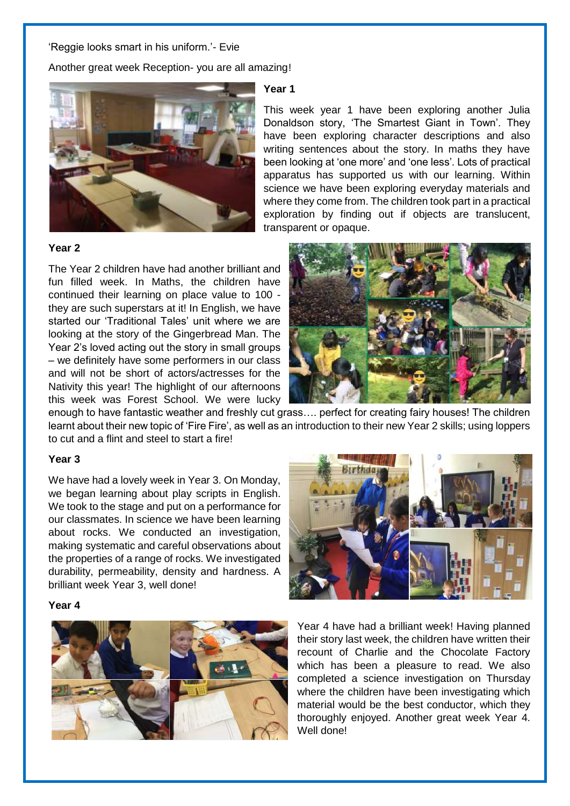#### 'Reggie looks smart in his uniform.'- Evie

Another great week Reception- you are all amazing!



#### **Year 2**

The Year 2 children have had another brilliant and fun filled week. In Maths, the children have continued their learning on place value to 100 they are such superstars at it! In English, we have started our 'Traditional Tales' unit where we are looking at the story of the Gingerbread Man. The Year 2's loved acting out the story in small groups – we definitely have some performers in our class and will not be short of actors/actresses for the Nativity this year! The highlight of our afternoons this week was Forest School. We were lucky

#### **Year 1**

This week year 1 have been exploring another Julia Donaldson story, 'The Smartest Giant in Town'. They have been exploring character descriptions and also writing sentences about the story. In maths they have been looking at 'one more' and 'one less'. Lots of practical apparatus has supported us with our learning. Within science we have been exploring everyday materials and where they come from. The children took part in a practical exploration by finding out if objects are translucent, transparent or opaque.



enough to have fantastic weather and freshly cut grass…. perfect for creating fairy houses! The children learnt about their new topic of 'Fire Fire', as well as an introduction to their new Year 2 skills; using loppers to cut and a flint and steel to start a fire!

#### **Year 3**

We have had a lovely week in Year 3. On Monday, we began learning about play scripts in English. We took to the stage and put on a performance for our classmates. In science we have been learning about rocks. We conducted an investigation, making systematic and careful observations about the properties of a range of rocks. We investigated durability, permeability, density and hardness. A brilliant week Year 3, well done!

#### **Year 4**



Year 4 have had a brilliant week! Having planned their story last week, the children have written their recount of Charlie and the Chocolate Factory which has been a pleasure to read. We also completed a science investigation on Thursday where the children have been investigating which material would be the best conductor, which they thoroughly enjoyed. Another great week Year 4. Well done!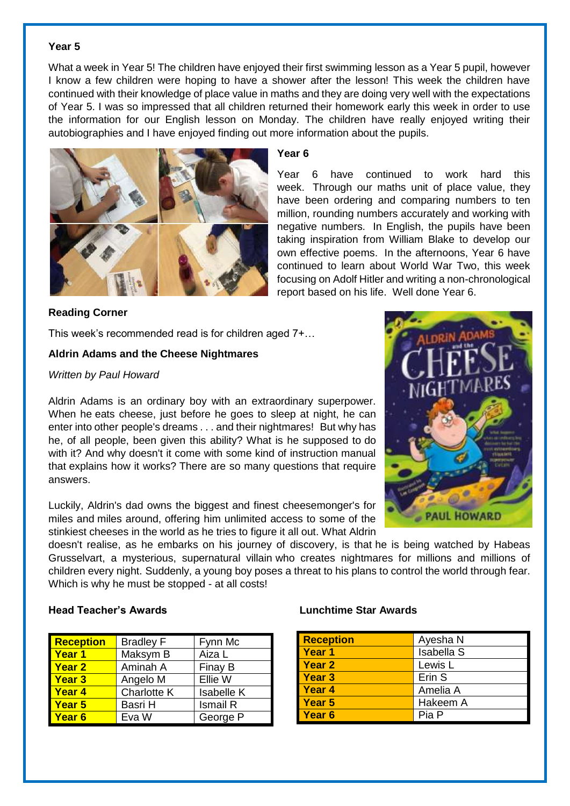#### **Year 5**

What a week in Year 5! The children have enjoyed their first swimming lesson as a Year 5 pupil, however I know a few children were hoping to have a shower after the lesson! This week the children have continued with their knowledge of place value in maths and they are doing very well with the expectations of Year 5. I was so impressed that all children returned their homework early this week in order to use the information for our English lesson on Monday. The children have really enjoyed writing their autobiographies and I have enjoyed finding out more information about the pupils.



#### **Year 6**

Year 6 have continued to work hard this week. Through our maths unit of place value, they have been ordering and comparing numbers to ten million, rounding numbers accurately and working with negative numbers. In English, the pupils have been taking inspiration from William Blake to develop our own effective poems. In the afternoons, Year 6 have continued to learn about World War Two, this week focusing on Adolf Hitler and writing a non-chronological report based on his life. Well done Year 6.

#### **Reading Corner**

This week's recommended read is for children aged 7+…

#### **Aldrin Adams and the Cheese Nightmares**

#### *Written by Paul Howard*

Aldrin Adams is an ordinary boy with an extraordinary superpower. When he eats cheese, just before he goes to sleep at night, he can enter into other people's dreams . . . and their nightmares! But why has he, of all people, been given this ability? What is he supposed to do with it? And why doesn't it come with some kind of instruction manual that explains how it works? There are so many questions that require answers.

Luckily, Aldrin's dad owns the biggest and finest cheesemonger's for miles and miles around, offering him unlimited access to some of the stinkiest cheeses in the world as he tries to figure it all out. What Aldrin

doesn't realise, as he embarks on his journey of discovery, is that he is being watched by Habeas Grusselvart, a mysterious, supernatural villain who creates nightmares for millions and millions of children every night. Suddenly, a young boy poses a threat to his plans to control the world through fear. Which is why he must be stopped - at all costs!

| <b>Reception</b>  | <b>Bradley F</b>   | Fynn Mc           |
|-------------------|--------------------|-------------------|
| <b>Year 1</b>     | Maksym B           | Aiza L            |
| <b>Year 2</b>     | Aminah A           | Finay B           |
| <b>Year 3</b>     | Angelo M           | Ellie W           |
| <b>Year 4</b>     | <b>Charlotte K</b> | <b>Isabelle K</b> |
| <b>Year 5</b>     | Basri H            | <b>Ismail R</b>   |
| Year <sub>6</sub> | Eva W              | George P          |

#### **Head Teacher's Awards Lunchtime Star Awards**

| <b>Reception</b>  | Ayesha N          |
|-------------------|-------------------|
| Year 1            | <b>Isabella S</b> |
| Year 2            | Lewis L           |
| Year <sub>3</sub> | Erin S            |
| Year 4            | Amelia A          |
| <b>Year 5</b>     | Hakeem A          |
| Year <sub>6</sub> | Pia P             |

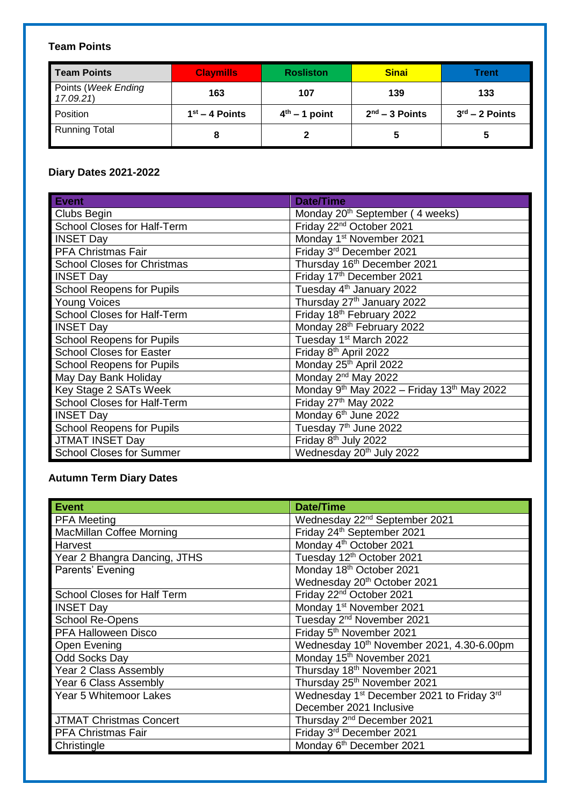### **Team Points**

| Team Points                     | <b>Claymills</b> | <b>Rosliston</b> | <b>Sinai</b>     | Trent                      |
|---------------------------------|------------------|------------------|------------------|----------------------------|
| Points (Week Ending<br>17.09.21 | 163              | 107              | 139              | 133                        |
| Position                        | $1st - 4$ Points | $4th - 1$ point  | $2nd - 3$ Points | $3^{\text{rd}}$ – 2 Points |
| <b>Running Total</b>            |                  |                  | 5                | 5                          |

#### **Diary Dates 2021-2022**

| <b>Event</b>                       | <b>Date/Time</b>                                                   |
|------------------------------------|--------------------------------------------------------------------|
| Clubs Begin                        | Monday 20 <sup>th</sup> September (4 weeks)                        |
| <b>School Closes for Half-Term</b> | Friday 22 <sup>nd</sup> October 2021                               |
| <b>INSET Day</b>                   | Monday 1 <sup>st</sup> November 2021                               |
| PFA Christmas Fair                 | Friday 3rd December 2021                                           |
| <b>School Closes for Christmas</b> | Thursday 16th December 2021                                        |
| <b>INSET Day</b>                   | Friday 17th December 2021                                          |
| <b>School Reopens for Pupils</b>   | Tuesday 4 <sup>th</sup> January 2022                               |
| <b>Young Voices</b>                | Thursday 27th January 2022                                         |
| School Closes for Half-Term        | Friday 18th February 2022                                          |
| <b>INSET Day</b>                   | Monday 28th February 2022                                          |
| <b>School Reopens for Pupils</b>   | Tuesday 1 <sup>st</sup> March 2022                                 |
| <b>School Closes for Easter</b>    | Friday 8th April 2022                                              |
| <b>School Reopens for Pupils</b>   | Monday 25th April 2022                                             |
| May Day Bank Holiday               | Monday 2 <sup>nd</sup> May 2022                                    |
| Key Stage 2 SATs Week              | Monday 9 <sup>th</sup> May 2022 - Friday 13 <sup>th</sup> May 2022 |
| School Closes for Half-Term        | Friday 27th May 2022                                               |
| <b>INSET Day</b>                   | Monday 6 <sup>th</sup> June 2022                                   |
| <b>School Reopens for Pupils</b>   | Tuesday 7 <sup>th</sup> June 2022                                  |
| JTMAT INSET Day                    | Friday 8 <sup>th</sup> July 2022                                   |
| <b>School Closes for Summer</b>    | Wednesday 20 <sup>th</sup> July 2022                               |

#### **Autumn Term Diary Dates**

| <b>Event</b>                       | <b>Date/Time</b>                                                  |
|------------------------------------|-------------------------------------------------------------------|
| <b>PFA Meeting</b>                 | Wednesday 22 <sup>nd</sup> September 2021                         |
| <b>MacMillan Coffee Morning</b>    | Friday 24th September 2021                                        |
| Harvest                            | Monday 4 <sup>th</sup> October 2021                               |
| Year 2 Bhangra Dancing, JTHS       | Tuesday 12 <sup>th</sup> October 2021                             |
| Parents' Evening                   | Monday 18th October 2021                                          |
|                                    | Wednesday 20 <sup>th</sup> October 2021                           |
| <b>School Closes for Half Term</b> | Friday 22 <sup>nd</sup> October 2021                              |
| <b>INSET Day</b>                   | Monday 1 <sup>st</sup> November 2021                              |
| School Re-Opens                    | Tuesday 2 <sup>nd</sup> November 2021                             |
| <b>PFA Halloween Disco</b>         | Friday 5 <sup>th</sup> November 2021                              |
| Open Evening                       | Wednesday 10 <sup>th</sup> November 2021, 4.30-6.00pm             |
| Odd Socks Day                      | Monday 15th November 2021                                         |
| Year 2 Class Assembly              | Thursday 18th November 2021                                       |
| Year 6 Class Assembly              | Thursday 25th November 2021                                       |
| Year 5 Whitemoor Lakes             | Wednesday 1 <sup>st</sup> December 2021 to Friday 3 <sup>rd</sup> |
|                                    | December 2021 Inclusive                                           |
| <b>JTMAT Christmas Concert</b>     | Thursday 2 <sup>nd</sup> December 2021                            |
| <b>PFA Christmas Fair</b>          | Friday 3rd December 2021                                          |
| Christingle                        | Monday 6 <sup>th</sup> December 2021                              |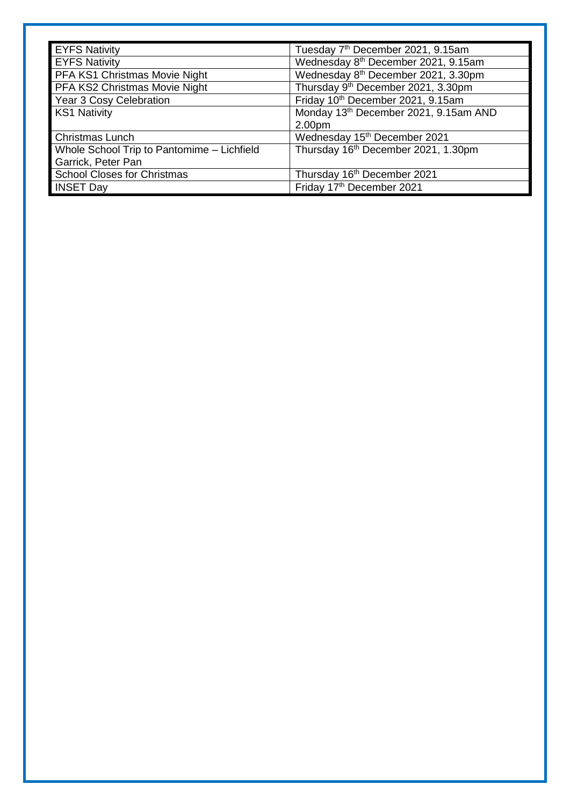| <b>EYFS Nativity</b>                       | Tuesday 7 <sup>th</sup> December 2021, 9.15am   |
|--------------------------------------------|-------------------------------------------------|
| <b>EYFS Nativity</b>                       | Wednesday 8 <sup>th</sup> December 2021, 9.15am |
| PFA KS1 Christmas Movie Night              | Wednesday 8 <sup>th</sup> December 2021, 3.30pm |
| PFA KS2 Christmas Movie Night              | Thursday 9 <sup>th</sup> December 2021, 3.30pm  |
| Year 3 Cosy Celebration                    | Friday 10th December 2021, 9.15am               |
| <b>KS1 Nativity</b>                        | Monday 13th December 2021, 9.15am AND           |
|                                            | 2.00pm                                          |
| <b>Christmas Lunch</b>                     | Wednesday 15 <sup>th</sup> December 2021        |
| Whole School Trip to Pantomime - Lichfield | Thursday 16th December 2021, 1.30pm             |
| Garrick, Peter Pan                         |                                                 |
| <b>School Closes for Christmas</b>         | Thursday 16th December 2021                     |
| <b>INSET Day</b>                           | Friday 17th December 2021                       |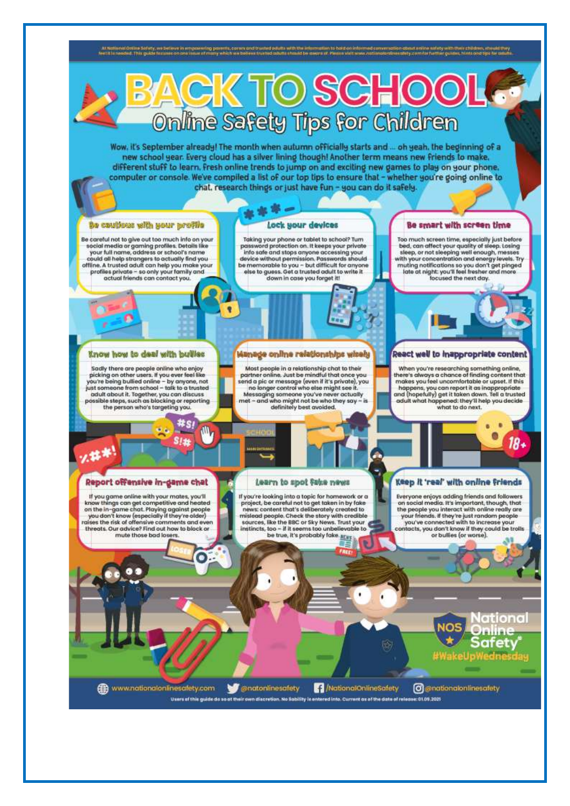At factional Online Solidy, we believe in empowering powers, corres and trusted adults with the information to hald on informed community.

it online sidely with their children, should they